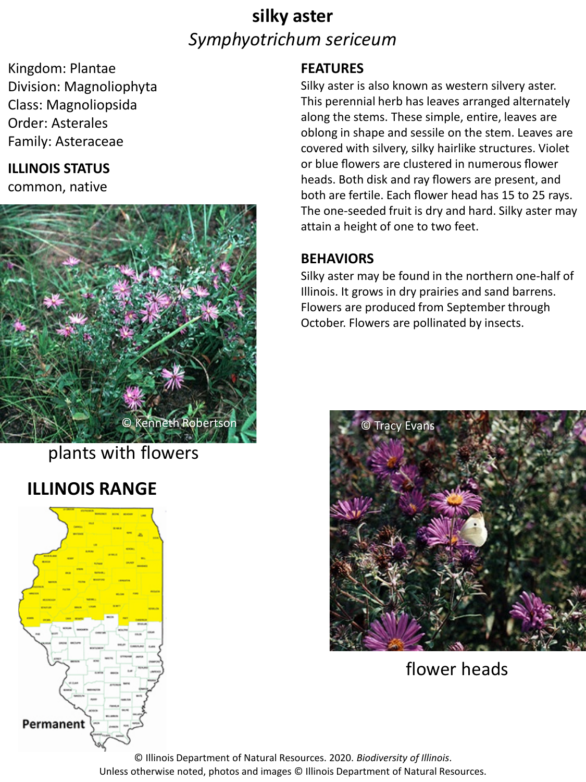# **silky aster** *Symphyotrichum sericeum*

Kingdom: Plantae Division: Magnoliophyta Class: Magnoliopsida Order: Asterales Family: Asteraceae

### **ILLINOIS STATUS**

common, native



plants with flowers

## **ILLINOIS RANGE**



### **FEATURES**

Silky aster is also known as western silvery aster. This perennial herb has leaves arranged alternately along the stems. These simple, entire, leaves are oblong in shape and sessile on the stem. Leaves are covered with silvery, silky hairlike structures. Violet or blue flowers are clustered in numerous flower heads. Both disk and ray flowers are present, and both are fertile. Each flower head has 15 to 25 rays. The one-seeded fruit is dry and hard. Silky aster may attain a height of one to two feet.

#### **BEHAVIORS**

Silky aster may be found in the northern one-half of Illinois. It grows in dry prairies and sand barrens. Flowers are produced from September through October. Flowers are pollinated by insects.



flower heads

© Illinois Department of Natural Resources. 2020. *Biodiversity of Illinois*. Unless otherwise noted, photos and images © Illinois Department of Natural Resources.